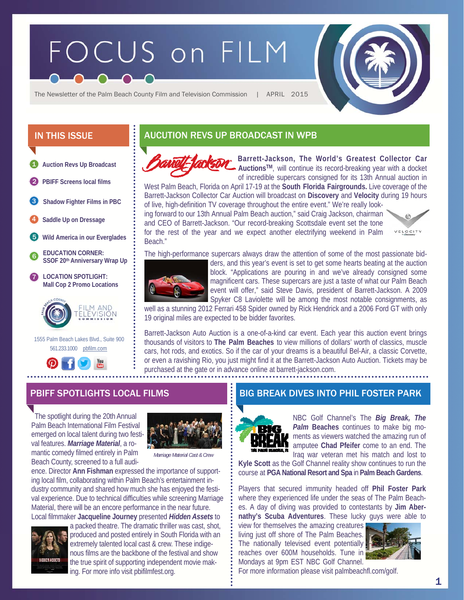# FOCUS on FILM



The Newsletter of the Palm Beach County Film and Television Commission | APRIL 2015



2 **PBIFF Screens local films** 

**Shadow Fighter Films in PBC**  3

4 **Saddle Up on Dressage** 

- 5 **Wild America in our Everglades**
- 6 **EDUCATION CORNER: SSOF 20th Anniversary Wrap Up**
- **LOCATION SPOTLIGHT: Mall Cop 2 Promo Locations**  7



 1555 Palm Beach Lakes Blvd., Suite 900 561.233.1000 pbfilm.com



# IN THIS ISSUE **AUCUTION REVS UP BROADCAST IN WPB**



**Barrett-Jackson, The World's Greatest Collector Car AuctionsTM**, will continue its record-breaking year with a docket of incredible supercars consigned for its 13th Annual auction in

West Palm Beach, Florida on April 17-19 at the **South Florida Fairgrounds.** Live coverage of the Barrett-Jackson Collector Car Auction will broadcast on **Discovery** and **Velocity** during 19 hours of live, high-definition TV coverage throughout the entire event." We're really look-

ing forward to our 13th Annual Palm Beach auction," said Craig Jackson, chairman and CEO of Barrett-Jackson. "Our record-breaking Scottsdale event set the tone for the rest of the year and we expect another electrifying weekend in Palm Beach."



The high-performance supercars always draw the attention of some of the most passionate bid-



ders, and this year's event is set to get some hearts beating at the auction block. "Applications are pouring in and we've already consigned some magnificent cars. These supercars are just a taste of what our Palm Beach event will offer," said Steve Davis, president of Barrett-Jackson. A 2009 Spyker C8 Laviolette will be among the most notable consignments, as

well as a stunning 2012 Ferrari 458 Spider owned by Rick Hendrick and a 2006 Ford GT with only 19 original miles are expected to be bidder favorites.

Barrett-Jackson Auto Auction is a one-of-a-kind car event. Each year this auction event brings thousands of visitors to **The Palm Beaches** to view millions of dollars' worth of classics, muscle cars, hot rods, and exotics. So if the car of your dreams is a beautiful Bel-Air, a classic Corvette, or even a ravishing Rio, you just might find it at the Barrett-Jackson Auto Auction. Tickets may be purchased at the gate or in advance online at barrett-jackson.com.

 The spotlight during the 20th Annual Palm Beach International Film Festival emerged on local talent during two festival features. *Marriage Material*, a romantic comedy filmed entirely in Palm Beach County, screened to a full audi-



*Marriage Material Cast & Crew*

ence. Director **Ann Fishman** expressed the importance of supporting local film, collaborating within Palm Beach's entertainment industry community and shared how much she has enjoyed the festival experience. Due to technical difficulties while screening Marriage Material, there will be an encore performance in the near future. Local filmmaker **Jacqueline Journey** presented *Hidden Assets* to



a packed theatre. The dramatic thriller was cast, shot, produced and posted entirely in South Florida with an extremely talented local cast & crew. These indigenous films are the backbone of the festival and show the true spirit of supporting independent movie making. For more info visit pbifilmfest.org.

### PBIFF SPOTLIGHTS LOCAL FILMS BIG BREAK DIVES INTO PHIL FOSTER PARK



NBC Golf Channel's The *Big Break, The*  **Palm Beaches** continues to make big moments as viewers watched the amazing run of amputee **Chad Pfeifer** come to an end. The Iraq war veteran met his match and lost to

**Kyle Scott** as the Golf Channel reality show continues to run the course at **PGA National Resort and Spa** in **Palm Beach Gardens**.

Players that secured immunity headed off **Phil Foster Park** where they experienced life under the seas of The Palm Beaches. A day of diving was provided to contestants by **Jim Abernathy's Scuba Adventures**. These lucky guys were able to

view for themselves the amazing creatures living just off shore of The Palm Beaches. The nationally televised event potentially reaches over 600M households. Tune in Mondays at 9pm EST NBC Golf Channel.



For more information please visit palmbeachfl.com/golf.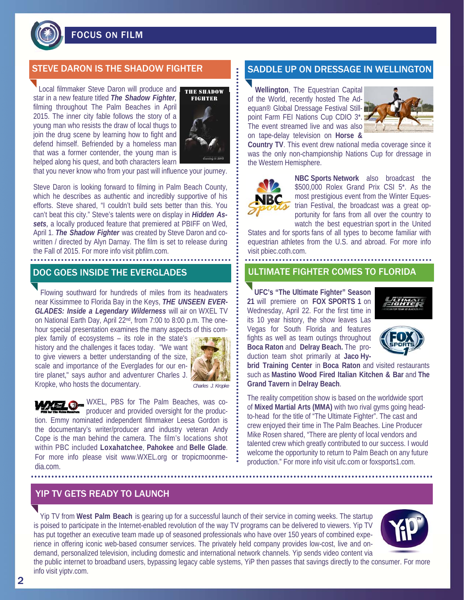

FOCUS ON FILM

## STEVE DARON IS THE SHADOW FIGHTER SADDLE UP ON DRESSAGE IN WELLINGTOI

Local filmmaker Steve Daron will produce and star in a new feature titled *The Shadow Fighter,*  filming throughout The Palm Beaches in April 2015. The inner city fable follows the story of a young man who resists the draw of local thugs to join the drug scene by learning how to fight and defend himself. Befriended by a homeless man that was a former contender, the young man is helped along his quest, and both characters learn



that you never know who from your past will influence your journey.

Steve Daron is looking forward to filming in Palm Beach County, which he describes as authentic and incredibly supportive of his efforts. Steve shared, "I couldn't build sets better than this. You can't beat this city." Steve's talents were on display in *Hidden Assets,* a locally produced feature that premiered at PBIFF on Wed, April 1. *The Shadow Fighter* was created by Steve Daron and cowritten / directed by Alyn Darnay. The film is set to release during the Fall of 2015. For more info visit pbfilm.com.

 Flowing southward for hundreds of miles from its headwaters near Kissimmee to Florida Bay in the Keys, *THE UNSEEN EVER-GLADES: Inside a Legendary Wilderness* will air on WXEL TV on National Earth Day, April 22nd, from 7:00 to 8:00 p.m. The onehour special presentation examines the many aspects of this com-

plex family of ecosystems – its role in the state's history and the challenges it faces today. "We want to give viewers a better understanding of the size, scale and importance of the Everglades for our entire planet," says author and adventurer Charles J. Kropke, who hosts the documentary.



*Charles J. Kropke*

WXEL, PBS for The Palm Beaches, was coproducer and provided oversight for the production. Emmy nominated independent filmmaker Leesa Gordon is the documentary's writer/producer and industry veteran Andy Cope is the man behind the camera. The film's locations shot within PBC included **Loxahatchee**, **Pahokee** and **Belle Glade**. For more info please visit www.WXEL.org or tropicmoonmedia.com.

 **Wellington**, The Equestrian Capital of the World, recently hosted The Adequan<sup>®</sup> Global Dressage Festival Stillpoint Farm FEI Nations Cup CDIO 3\*. The event streamed live and was also on tape-delay television on **Horse &** 



**Country TV**. This event drew national media coverage since it was the only non-championship Nations Cup for dressage in the Western Hemisphere.



**NBC Sports Network** also broadcast the \$500,000 Rolex Grand Prix CSI 5\*. As the most prestigious event from the Winter Equestrian Festival, the broadcast was a great opportunity for fans from all over the country to watch the best equestrian sport in the United

States and for sports fans of all types to become familiar with equestrian athletes from the U.S. and abroad. For more info visit pbiec.coth.com.

#### DOC GOES INSIDE THE EVERGLADES **The STATE OF A STATE ASSESS** TO FLORIDA

**UFC's "The Ultimate Fighter" Season 21** will premiere on **FOX SPORTS 1** on Wednesday, April 22. For the first time in its 10 year history, the show leaves Las Vegas for South Florida and features fights as well as team outings throughout **Boca Raton** and **Delray Beach.** The production team shot primarily at **Jaco Hy-**





**brid Training Center** in **Boca Raton** and visited restaurants such as **Mastino Wood Fired Italian Kitchen & Bar** and **The Grand Tavern** in **Delray Beach**.

The reality competition show is based on the worldwide sport of **Mixed Martial Arts (MMA)** with two rival gyms going headto-head for the title of "The Ultimate Fighter". The cast and crew enjoyed their time in The Palm Beaches. Line Producer Mike Rosen shared, "There are plenty of local vendors and talented crew which greatly contributed to our success. I would welcome the opportunity to return to Palm Beach on any future production." For more info visit ufc.com or foxsports1.com.

#### YIP TV GETS READY TO LAUNCH

Yip TV from **West Palm Beach** is gearing up for a successful launch of their service in coming weeks. The startup is poised to participate in the Internet-enabled revolution of the way TV programs can be delivered to viewers. Yip TV has put together an executive team made up of seasoned professionals who have over 150 years of combined experience in offering iconic web-based consumer services. The privately held company provides low-cost, live and ondemand, personalized television, including domestic and international network channels. Yip sends video content via the public internet to broadband users, bypassing legacy cable systems, YiP then passes that savings directly to the consumer. For more



info visit yiptv.com. 2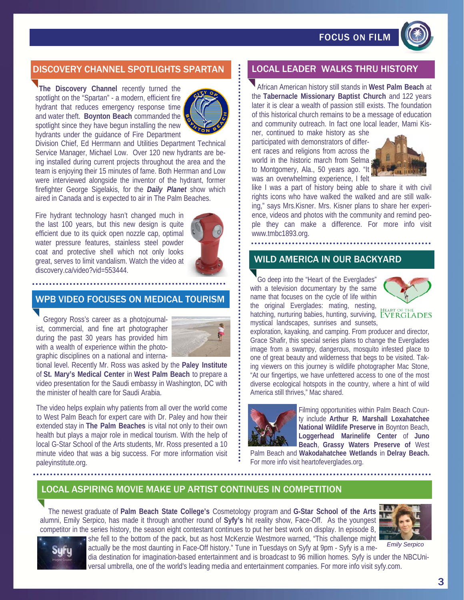FOCUS ON FILM



# DISCOVERY CHANNEL SPOTLIGHTS SPARTAN LEAD LOCAL LEADER WALKS THRU HISTORY

 **The Discovery Channel** recently turned the spotlight on the "Spartan" - a modern, efficient fire hydrant that reduces emergency response time and water theft. **Boynton Beach** commanded the spotlight since they have begun installing the new hydrants under the guidance of Fire Department



Division Chief, Ed Herrmann and Utilities Department Technical Service Manager, Michael Low. Over 120 new hydrants are being installed during current projects throughout the area and the team is enjoying their 15 minutes of fame. Both Herrman and Low were interviewed alongside the inventor of the hydrant, former firefighter George Sigelakis, for the *Daily Planet* show which aired in Canada and is expected to air in The Palm Beaches.

Fire hydrant technology hasn't changed much in the last 100 years, but this new design is quite efficient due to its quick open nozzle cap, optimal water pressure features, stainless steel powder coat and protective shell which not only looks great, serves to limit vandalism. Watch the video at discovery.ca/video?vid=553444.



## WPB VIDEO FOCUSES ON MEDICAL TOURISM

 Gregory Ross's career as a photojournalist, commercial, and fine art photographer during the past 30 years has provided him with a wealth of experience within the photographic disciplines on a national and interna-



tional level. Recently Mr. Ross was asked by the **Paley Institute**  of **St. Mary's Medical Center** in **West Palm Beach** to prepare a video presentation for the Saudi embassy in Washington, DC with the minister of health care for Saudi Arabia.

The video helps explain why patients from all over the world come to West Palm Beach for expert care with Dr. Paley and how their extended stay in **The Palm Beaches** is vital not only to their own health but plays a major role in medical tourism. With the help of local G-Star School of the Arts students, Mr. Ross presented a 10 minute video that was a big success. For more information visit paleyinstitute.org.

African American history still stands in **West Palm Beach** at the **Tabernacle Missionary Baptist Church** and 122 years later it is clear a wealth of passion still exists. The foundation of this historical church remains to be a message of education and community outreach. In fact one local leader, Mami Kis-

ner, continued to make history as she participated with demonstrators of different races and religions from across the world in the historic march from Selma to Montgomery, Ala., 50 years ago. "It was an overwhelming experience, I felt



like I was a part of history being able to share it with civil rights icons who have walked the walked and are still walking," says Mrs.Kisner. Mrs. Kisner plans to share her experience, videos and photos with the community and remind people they can make a difference. For more info visit www.tmbc1893.org.

#### WILD AMERICA IN OUR BACKYARD

 Go deep into the "Heart of the Everglades" with a television documentary by the same name that focuses on the cycle of life within the original Everglades: mating, nesting, hatching, nurturing babies, hunting, surviving, EVERGLADES mystical landscapes, sunrises and sunsets,



exploration, kayaking, and camping. From producer and director, Grace Shafir, this special series plans to change the Everglades image from a swampy, dangerous, mosquito infested place to one of great beauty and wilderness that begs to be visited. Taking viewers on this journey is wildlife photographer Mac Stone, "At our fingertips, we have unfettered access to one of the most diverse ecological hotspots in the country, where a hint of wild America still thrives," Mac shared.



Filming opportunities within Palm Beach County include **Arthur R. Marshall Loxahatchee National Wildlife Preserve in** Boynton Beach, **Loggerhead Marinelife Center** of **Juno Beach**, **Grassy Waters Preserve of** West

Palm Beach and **Wakodahatchee Wetlands** in **Delray Beach.**  For more info visit heartofeverglades.org.

## LOCAL ASPIRING MOVIE MAKE UP ARTIST CONTINUES IN COMPETITION

 The newest graduate of **Palm Beach State College's** Cosmetology program and **G-Star School of the Arts**  alumni, Emily Serpico, has made it through another round of **Syfy's** hit reality show, Face-Off. As the youngest competitor in the series history, the season eight contestant continues to put her best work on display. In episode 8, she fell to the bottom of the pack, but as host McKenzie Westmore warned, "This challenge might







actually be the most daunting in Face-Off history." Tune in Tuesdays on Syfy at 9pm - Syfy is a media destination for imagination-based entertainment and is broadcast to 96 million homes. Syfy is under the NBCUniversal umbrella, one of the world's leading media and entertainment companies. For more info visit syfy.com.